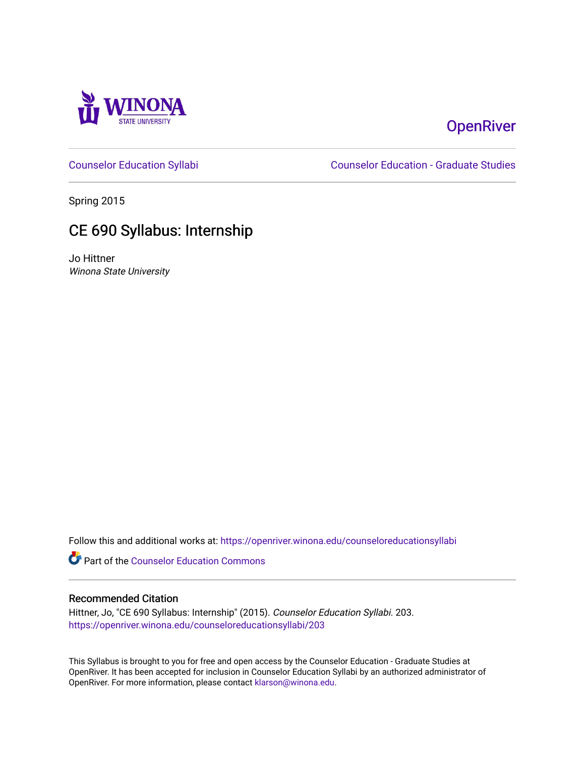

# **OpenRiver**

[Counselor Education Syllabi](https://openriver.winona.edu/counseloreducationsyllabi) [Counselor Education - Graduate Studies](https://openriver.winona.edu/counseloreducation) 

Spring 2015

# CE 690 Syllabus: Internship

Jo Hittner Winona State University

Follow this and additional works at: [https://openriver.winona.edu/counseloreducationsyllabi](https://openriver.winona.edu/counseloreducationsyllabi?utm_source=openriver.winona.edu%2Fcounseloreducationsyllabi%2F203&utm_medium=PDF&utm_campaign=PDFCoverPages)

Part of the [Counselor Education Commons](http://network.bepress.com/hgg/discipline/1278?utm_source=openriver.winona.edu%2Fcounseloreducationsyllabi%2F203&utm_medium=PDF&utm_campaign=PDFCoverPages) 

#### Recommended Citation

Hittner, Jo, "CE 690 Syllabus: Internship" (2015). Counselor Education Syllabi. 203. [https://openriver.winona.edu/counseloreducationsyllabi/203](https://openriver.winona.edu/counseloreducationsyllabi/203?utm_source=openriver.winona.edu%2Fcounseloreducationsyllabi%2F203&utm_medium=PDF&utm_campaign=PDFCoverPages)

This Syllabus is brought to you for free and open access by the Counselor Education - Graduate Studies at OpenRiver. It has been accepted for inclusion in Counselor Education Syllabi by an authorized administrator of OpenRiver. For more information, please contact [klarson@winona.edu](mailto:klarson@winona.edu).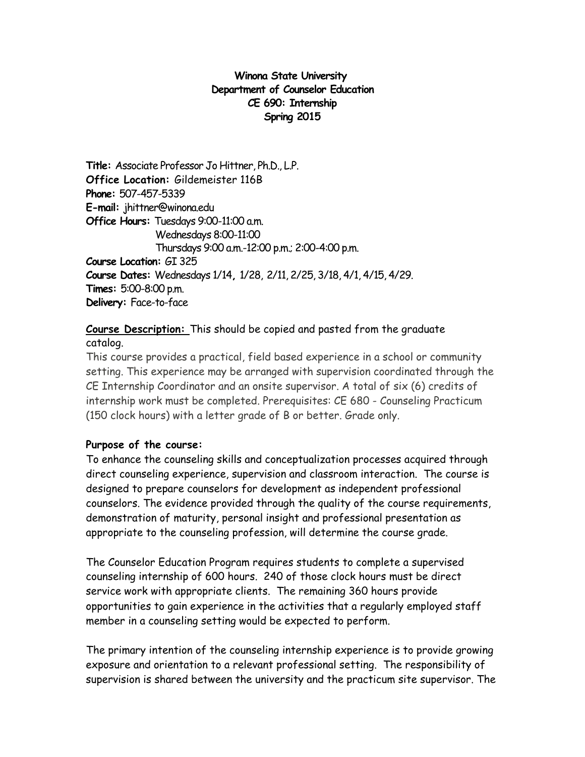#### **Winona State University Department of Counselor Education CE 690: Internship Spring 2015**

**Title:** Associate Professor Jo Hittner, Ph.D., L.P. **Office Location:** Gildemeister 116B **Phone:** 507-457-5339 **E-mail:** jhittner@winona.edu **Office Hours:** Tuesdays 9:00-11:00 a.m. Wednesdays 8:00-11:00 Thursdays 9:00 a.m.-12:00 p.m.; 2:00-4:00 p.m. **Course Location:** GI 325 **Course Dates:** Wednesdays 1/14**,** 1/28, 2/11, 2/25, 3/18, 4/1, 4/15, 4/29. **Times:** 5:00-8:00 p.m. **Delivery:** Face-to-face

## **Course Description:** This should be copied and pasted from the graduate catalog.

This course provides a practical, field based experience in a school or community setting. This experience may be arranged with supervision coordinated through the CE Internship Coordinator and an onsite supervisor. A total of six (6) credits of internship work must be completed. Prerequisites: CE 680 - Counseling Practicum (150 clock hours) with a letter grade of B or better. Grade only.

## **Purpose of the course:**

To enhance the counseling skills and conceptualization processes acquired through direct counseling experience, supervision and classroom interaction. The course is designed to prepare counselors for development as independent professional counselors. The evidence provided through the quality of the course requirements, demonstration of maturity, personal insight and professional presentation as appropriate to the counseling profession, will determine the course grade.

The Counselor Education Program requires students to complete a supervised counseling internship of 600 hours. 240 of those clock hours must be direct service work with appropriate clients. The remaining 360 hours provide opportunities to gain experience in the activities that a regularly employed staff member in a counseling setting would be expected to perform.

The primary intention of the counseling internship experience is to provide growing exposure and orientation to a relevant professional setting. The responsibility of supervision is shared between the university and the practicum site supervisor. The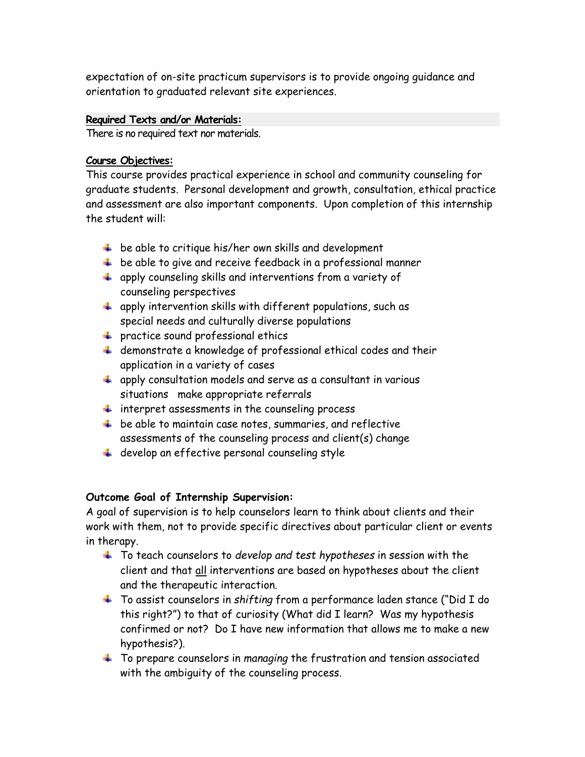expectation of on-site practicum supervisors is to provide ongoing guidance and orientation to graduated relevant site experiences.

#### **Required Texts and/or Materials:**

There is no required text nor materials.

#### **Course Objectives:**

This course provides practical experience in school and community counseling for graduate students. Personal development and growth, consultation, ethical practice and assessment are also important components. Upon completion of this internship the student will:

- $\ddot{\phantom{1}}$  be able to critique his/her own skills and development
- $\overline{\phantom{a}}$  be able to give and receive feedback in a professional manner
- $\ddotplus$  apply counseling skills and interventions from a variety of counseling perspectives
- $\ddot{+}$  apply intervention skills with different populations, such as special needs and culturally diverse populations
- **practice sound professional ethics**
- $\ddotplus$  demonstrate a knowledge of professional ethical codes and their application in a variety of cases
- $\pm$  apply consultation models and serve as a consultant in various situations make appropriate referrals
- $\ddot{\bullet}$  interpret assessments in the counseling process
- $\pm$  be able to maintain case notes, summaries, and reflective assessments of the counseling process and client(s) change
- $\ddot{\phantom{1}}$  develop an effective personal counseling style

#### **Outcome Goal of Internship Supervision:**

A goal of supervision is to help counselors learn to think about clients and their work with them, not to provide specific directives about particular client or events in therapy.

- To teach counselors to *develop and test hypotheses* in session with the client and that all interventions are based on hypotheses about the client and the therapeutic interaction.
- To assist counselors in *shifting* from a performance laden stance ("Did I do this right?") to that of curiosity (What did I learn? Was my hypothesis confirmed or not? Do I have new information that allows me to make a new hypothesis?).
- To prepare counselors in *managing* the frustration and tension associated with the ambiguity of the counseling process.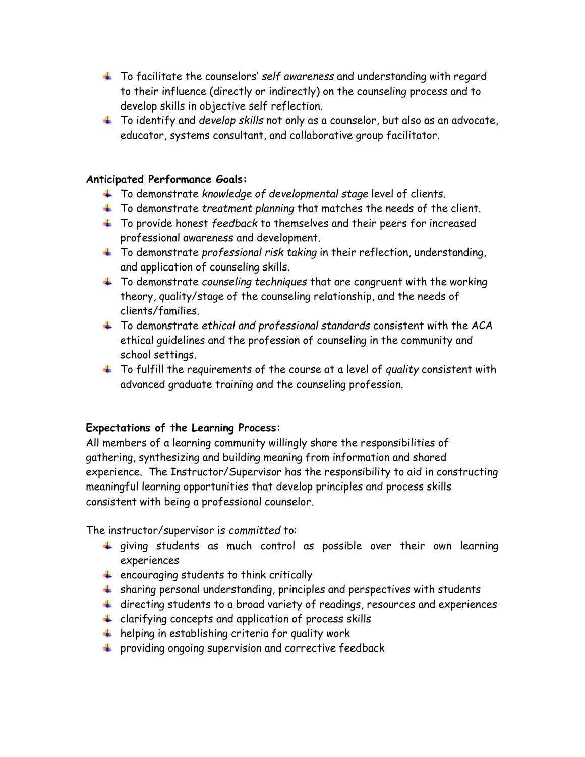- To facilitate the counselors' *self awareness* and understanding with regard to their influence (directly or indirectly) on the counseling process and to develop skills in objective self reflection.
- To identify and *develop skills* not only as a counselor, but also as an advocate, educator, systems consultant, and collaborative group facilitator.

#### **Anticipated Performance Goals:**

- To demonstrate *knowledge of developmental stage* level of clients.
- To demonstrate *treatment planning* that matches the needs of the client.
- To provide honest *feedback* to themselves and their peers for increased professional awareness and development.
- To demonstrate *professional risk taking* in their reflection, understanding, and application of counseling skills.
- To demonstrate *counseling techniques* that are congruent with the working theory, quality/stage of the counseling relationship, and the needs of clients/families.
- To demonstrate *ethical and professional standards* consistent with the ACA ethical guidelines and the profession of counseling in the community and school settings.
- To fulfill the requirements of the course at a level of *quality* consistent with advanced graduate training and the counseling profession.

#### **Expectations of the Learning Process:**

All members of a learning community willingly share the responsibilities of gathering, synthesizing and building meaning from information and shared experience. The Instructor/Supervisor has the responsibility to aid in constructing meaningful learning opportunities that develop principles and process skills consistent with being a professional counselor.

The instructor/supervisor is *committed* to:

- giving students as much control as possible over their own learning experiences
- $\ddot{\bullet}$  encouraging students to think critically
- $\ddot{+}$  sharing personal understanding, principles and perspectives with students
- directing students to a broad variety of readings, resources and experiences
- $\ddot{\phantom{1}}$  clarifying concepts and application of process skills
- $\ddot{\phantom{1}}$  helping in establishing criteria for quality work
- $\ddot{\phantom{1}}$  providing ongoing supervision and corrective feedback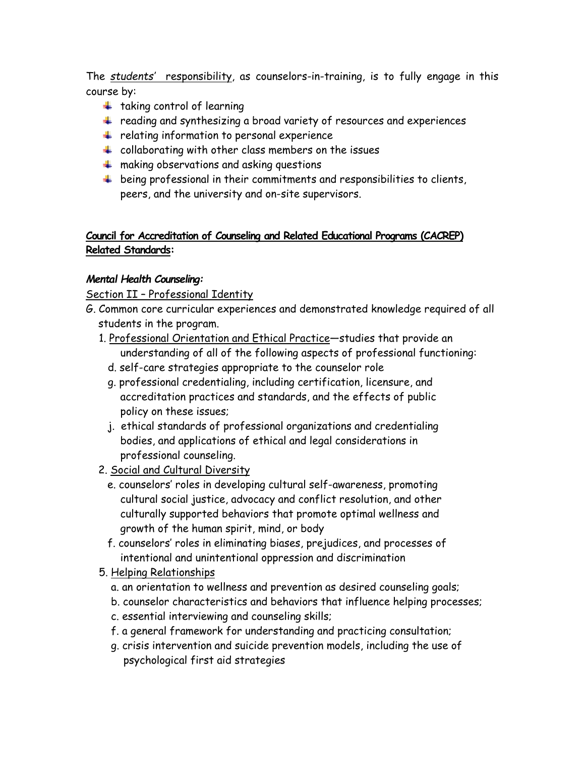The *students'* responsibility, as counselors-in-training, is to fully engage in this course by:

- $\ddot{\bullet}$  taking control of learning
- + reading and synthesizing a broad variety of resources and experiences
- $\ddot{\phantom{1}}$  relating information to personal experience
- $\ddot{\phantom{1}}$  collaborating with other class members on the issues
- $\ddot{*}$  making observations and asking questions
- $\ddot{+}$  being professional in their commitments and responsibilities to clients, peers, and the university and on-site supervisors.

## **Council for Accreditation of Counseling and Related Educational Programs (CACREP) Related Standards:**

## *Mental Health Counseling:*

Section II – Professional Identity

- G. Common core curricular experiences and demonstrated knowledge required of all students in the program.
	- 1. Professional Orientation and Ethical Practice—studies that provide an understanding of all of the following aspects of professional functioning:
		- d. self-care strategies appropriate to the counselor role
		- g. professional credentialing, including certification, licensure, and accreditation practices and standards, and the effects of public policy on these issues;
		- j. ethical standards of professional organizations and credentialing bodies, and applications of ethical and legal considerations in professional counseling.
	- 2. Social and Cultural Diversity
		- e. counselors' roles in developing cultural self-awareness, promoting cultural social justice, advocacy and conflict resolution, and other culturally supported behaviors that promote optimal wellness and growth of the human spirit, mind, or body
		- f. counselors' roles in eliminating biases, prejudices, and processes of intentional and unintentional oppression and discrimination
	- 5. Helping Relationships
		- a. an orientation to wellness and prevention as desired counseling goals;
		- b. counselor characteristics and behaviors that influence helping processes;
		- c. essential interviewing and counseling skills;
		- f. a general framework for understanding and practicing consultation;
		- g. crisis intervention and suicide prevention models, including the use of psychological first aid strategies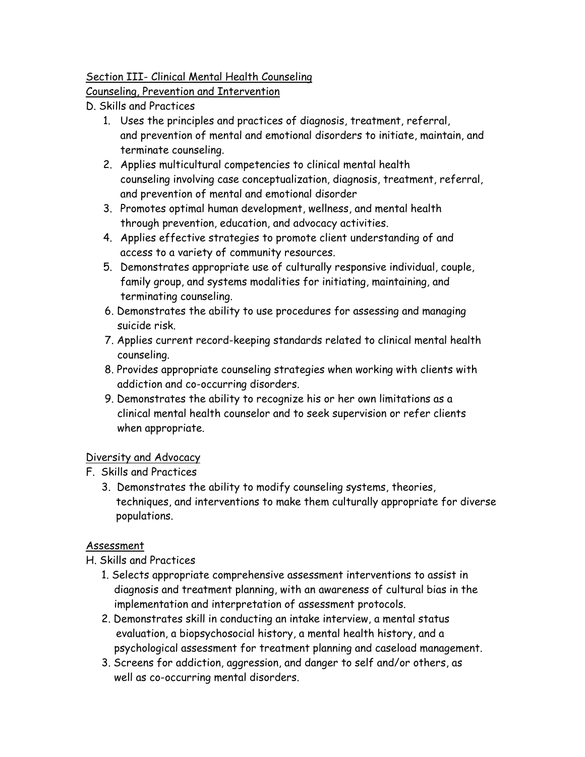## Section III- Clinical Mental Health Counseling

Counseling, Prevention and Intervention

- D. Skills and Practices
	- 1. Uses the principles and practices of diagnosis, treatment, referral, and prevention of mental and emotional disorders to initiate, maintain, and terminate counseling.
	- 2. Applies multicultural competencies to clinical mental health counseling involving case conceptualization, diagnosis, treatment, referral, and prevention of mental and emotional disorder
	- 3. Promotes optimal human development, wellness, and mental health through prevention, education, and advocacy activities.
	- 4. Applies effective strategies to promote client understanding of and access to a variety of community resources.
	- 5. Demonstrates appropriate use of culturally responsive individual, couple, family group, and systems modalities for initiating, maintaining, and terminating counseling.
	- 6. Demonstrates the ability to use procedures for assessing and managing suicide risk.
	- 7. Applies current record-keeping standards related to clinical mental health counseling.
	- 8. Provides appropriate counseling strategies when working with clients with addiction and co-occurring disorders.
	- 9. Demonstrates the ability to recognize his or her own limitations as a clinical mental health counselor and to seek supervision or refer clients when appropriate.

## Diversity and Advocacy

- F. Skills and Practices
	- 3. Demonstrates the ability to modify counseling systems, theories, techniques, and interventions to make them culturally appropriate for diverse populations.

# Assessment

# H. Skills and Practices

- 1. Selects appropriate comprehensive assessment interventions to assist in diagnosis and treatment planning, with an awareness of cultural bias in the implementation and interpretation of assessment protocols.
- 2. Demonstrates skill in conducting an intake interview, a mental status evaluation, a biopsychosocial history, a mental health history, and a psychological assessment for treatment planning and caseload management.
- 3. Screens for addiction, aggression, and danger to self and/or others, as well as co-occurring mental disorders.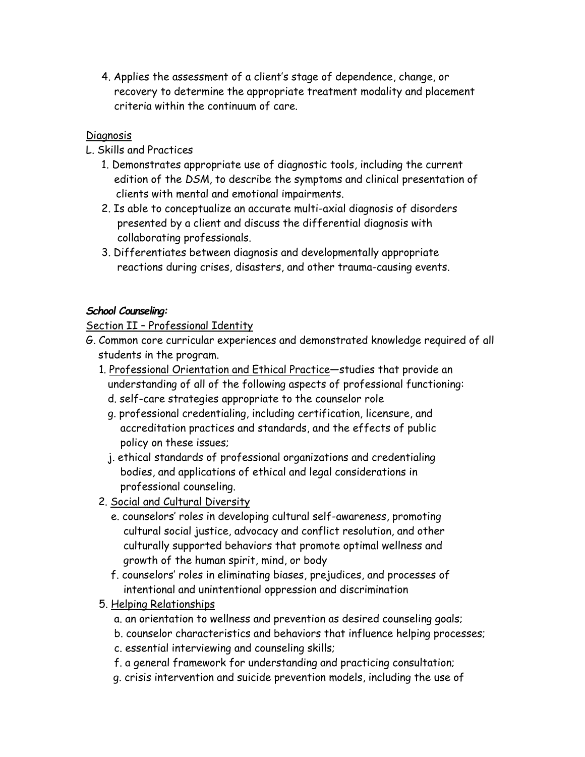4. Applies the assessment of a client's stage of dependence, change, or recovery to determine the appropriate treatment modality and placement criteria within the continuum of care.

### **Diagnosis**

L. Skills and Practices

- 1. Demonstrates appropriate use of diagnostic tools, including the current edition of the *DSM*, to describe the symptoms and clinical presentation of clients with mental and emotional impairments.
- 2. Is able to conceptualize an accurate multi-axial diagnosis of disorders presented by a client and discuss the differential diagnosis with collaborating professionals.
- 3. Differentiates between diagnosis and developmentally appropriate reactions during crises, disasters, and other trauma-causing events.

### *School Counseling:*

Section II – Professional Identity

- G. Common core curricular experiences and demonstrated knowledge required of all students in the program.
	- 1. Professional Orientation and Ethical Practice—studies that provide an understanding of all of the following aspects of professional functioning:
		- d. self-care strategies appropriate to the counselor role
		- g. professional credentialing, including certification, licensure, and accreditation practices and standards, and the effects of public policy on these issues;
		- j. ethical standards of professional organizations and credentialing bodies, and applications of ethical and legal considerations in professional counseling.
	- 2. Social and Cultural Diversity
		- e. counselors' roles in developing cultural self-awareness, promoting cultural social justice, advocacy and conflict resolution, and other culturally supported behaviors that promote optimal wellness and growth of the human spirit, mind, or body
		- f. counselors' roles in eliminating biases, prejudices, and processes of intentional and unintentional oppression and discrimination
	- 5. Helping Relationships
		- a. an orientation to wellness and prevention as desired counseling goals;
		- b. counselor characteristics and behaviors that influence helping processes;
		- c. essential interviewing and counseling skills;
		- f. a general framework for understanding and practicing consultation;
		- g. crisis intervention and suicide prevention models, including the use of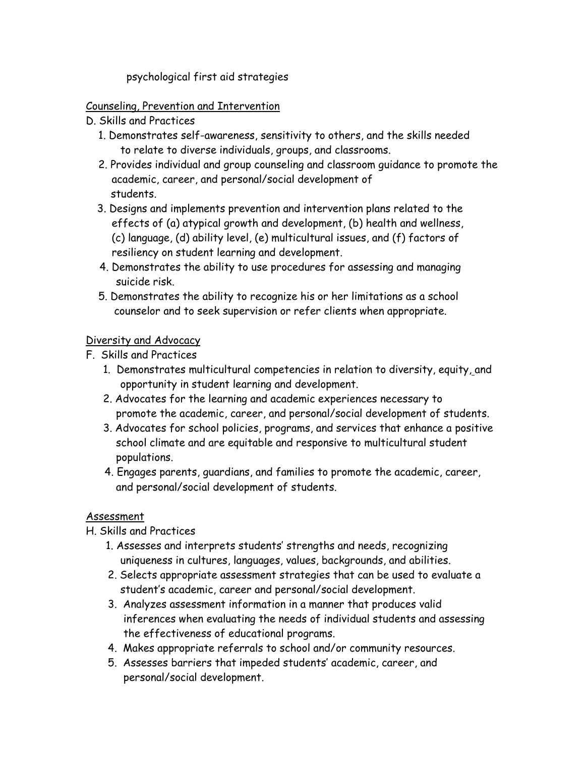psychological first aid strategies

#### Counseling, Prevention and Intervention

- D. Skills and Practices
	- 1. Demonstrates self-awareness, sensitivity to others, and the skills needed to relate to diverse individuals, groups, and classrooms.
	- 2. Provides individual and group counseling and classroom guidance to promote the academic, career, and personal/social development of students.
	- 3. Designs and implements prevention and intervention plans related to the effects of (a) atypical growth and development, (b) health and wellness, (c) language, (d) ability level, (e) multicultural issues, and (f) factors of resiliency on student learning and development.
	- 4. Demonstrates the ability to use procedures for assessing and managing suicide risk.
	- 5. Demonstrates the ability to recognize his or her limitations as a school counselor and to seek supervision or refer clients when appropriate.

#### Diversity and Advocacy

F. Skills and Practices

- 1. Demonstrates multicultural competencies in relation to diversity, equity, and opportunity in student learning and development.
- 2. Advocates for the learning and academic experiences necessary to promote the academic, career, and personal/social development of students.
- 3. Advocates for school policies, programs, and services that enhance a positive school climate and are equitable and responsive to multicultural student populations.
- 4. Engages parents, guardians, and families to promote the academic, career, and personal/social development of students.

## Assessment

H. Skills and Practices

- 1. Assesses and interprets students' strengths and needs, recognizing uniqueness in cultures, languages, values, backgrounds, and abilities.
- 2. Selects appropriate assessment strategies that can be used to evaluate a student's academic, career and personal/social development.
- 3. Analyzes assessment information in a manner that produces valid inferences when evaluating the needs of individual students and assessing the effectiveness of educational programs.
- 4. Makes appropriate referrals to school and/or community resources.
- 5. Assesses barriers that impeded students' academic, career, and personal/social development.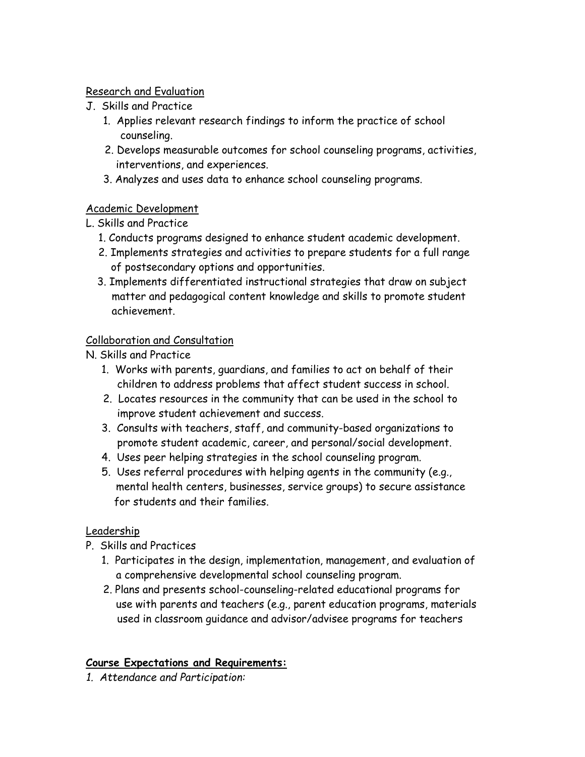## Research and Evaluation

- J. Skills and Practice
	- 1. Applies relevant research findings to inform the practice of school counseling.
	- 2. Develops measurable outcomes for school counseling programs, activities, interventions, and experiences.
	- 3. Analyzes and uses data to enhance school counseling programs.

## Academic Development

L. Skills and Practice

- 1. Conducts programs designed to enhance student academic development.
- 2. Implements strategies and activities to prepare students for a full range of postsecondary options and opportunities.
- 3. Implements differentiated instructional strategies that draw on subject matter and pedagogical content knowledge and skills to promote student achievement.

## Collaboration and Consultation

N. Skills and Practice

- 1. Works with parents, guardians, and families to act on behalf of their children to address problems that affect student success in school.
- 2. Locates resources in the community that can be used in the school to improve student achievement and success.
- 3. Consults with teachers, staff, and community-based organizations to promote student academic, career, and personal/social development.
- 4. Uses peer helping strategies in the school counseling program.
- 5. Uses referral procedures with helping agents in the community (e.g., mental health centers, businesses, service groups) to secure assistance for students and their families.

# **Leadership**

- P. Skills and Practices
	- 1. Participates in the design, implementation, management, and evaluation of a comprehensive developmental school counseling program.
	- 2. Plans and presents school-counseling-related educational programs for use with parents and teachers (e.g., parent education programs, materials used in classroom guidance and advisor/advisee programs for teachers

# **Course Expectations and Requirements:**

*1. Attendance and Participation:*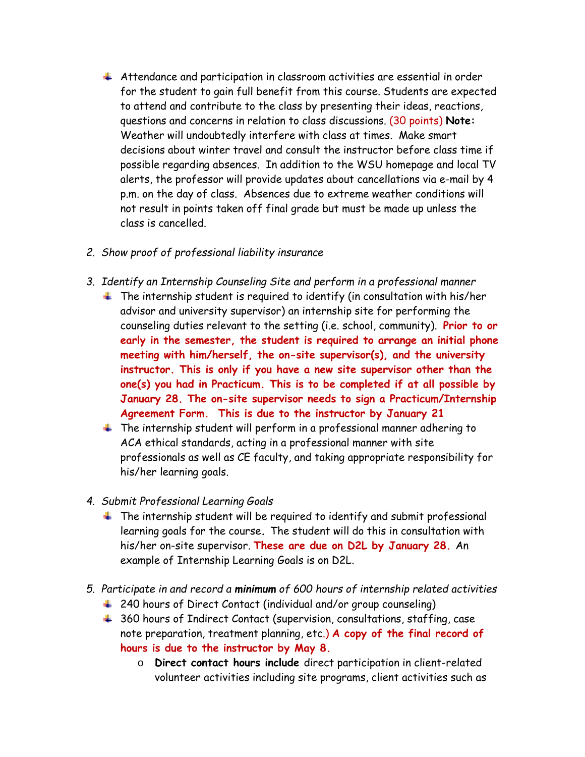- Attendance and participation in classroom activities are essential in order for the student to gain full benefit from this course. Students are expected to attend and contribute to the class by presenting their ideas, reactions, questions and concerns in relation to class discussions. (30 points) **Note:** Weather will undoubtedly interfere with class at times. Make smart decisions about winter travel and consult the instructor before class time if possible regarding absences. In addition to the WSU homepage and local TV alerts, the professor will provide updates about cancellations via e-mail by 4 p.m. on the day of class. Absences due to extreme weather conditions will not result in points taken off final grade but must be made up unless the class is cancelled.
- *2. Show proof of professional liability insurance*
- *3. Identify an Internship Counseling Site and perform in a professional manner* 
	- $\ddot{\phantom{1}}$  The internship student is required to identify (in consultation with his/her advisor and university supervisor) an internship site for performing the counseling duties relevant to the setting (i.e. school, community). **Prior to or early in the semester, the student is required to arrange an initial phone meeting with him/herself, the on-site supervisor(s), and the university instructor. This is only if you have a new site supervisor other than the one(s) you had in Practicum. This is to be completed if at all possible by January 28. The on-site supervisor needs to sign a Practicum/Internship Agreement Form. This is due to the instructor by January 21**
	- $\pm$  The internship student will perform in a professional manner adhering to ACA ethical standards, acting in a professional manner with site professionals as well as CE faculty, and taking appropriate responsibility for his/her learning goals.
- *4. Submit Professional Learning Goals*
	- $\ddot{\phantom{1}}$  The internship student will be required to identify and submit professional learning goals for the course**.** The student will do this in consultation with his/her on-site supervisor. **These are due on D2L by January 28.** An example of Internship Learning Goals is on D2L.
- *5. Participate in and record a minimum of 600 hours of internship related activities*
	- 4 240 hours of Direct Contact (individual and/or group counseling)
	- 4 360 hours of Indirect Contact (supervision, consultations, staffing, case note preparation, treatment planning, etc.) **A copy of the final record of hours is due to the instructor by May 8.**
		- o **Direct contact hours include** direct participation in client-related volunteer activities including site programs, client activities such as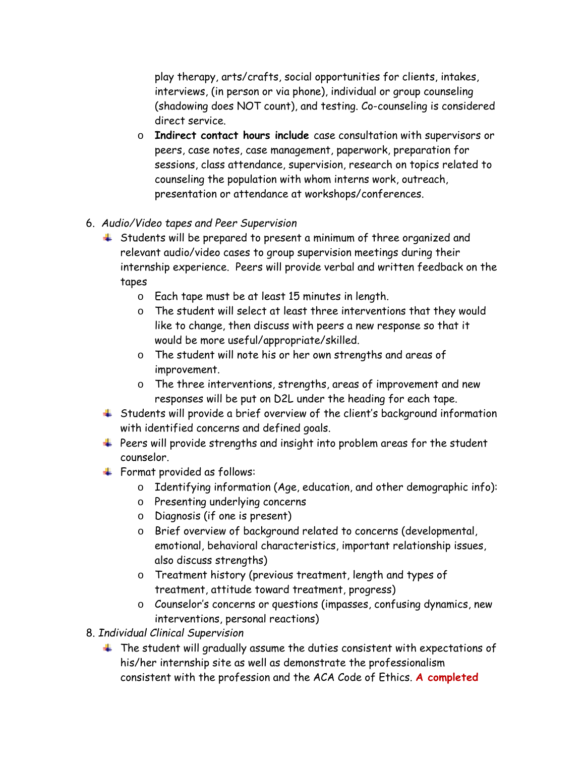play therapy, arts/crafts, social opportunities for clients, intakes, interviews, (in person or via phone), individual or group counseling (shadowing does NOT count), and testing. Co-counseling is considered direct service.

- o **Indirect contact hours include** case consultation with supervisors or peers, case notes, case management, paperwork, preparation for sessions, class attendance, supervision, research on topics related to counseling the population with whom interns work, outreach, presentation or attendance at workshops/conferences.
- 6. *Audio/Video tapes and Peer Supervision*
	- Students will be prepared to present a minimum of three organized and relevant audio/video cases to group supervision meetings during their internship experience. Peers will provide verbal and written feedback on the tapes
		- o Each tape must be at least 15 minutes in length.
		- o The student will select at least three interventions that they would like to change, then discuss with peers a new response so that it would be more useful/appropriate/skilled.
		- o The student will note his or her own strengths and areas of improvement.
		- o The three interventions, strengths, areas of improvement and new responses will be put on D2L under the heading for each tape.
	- Students will provide a brief overview of the client's background information with identified concerns and defined goals.
	- Peers will provide strengths and insight into problem areas for the student counselor.
	- Format provided as follows:
		- o Identifying information (Age, education, and other demographic info):
		- o Presenting underlying concerns
		- o Diagnosis (if one is present)
		- o Brief overview of background related to concerns (developmental, emotional, behavioral characteristics, important relationship issues, also discuss strengths)
		- o Treatment history (previous treatment, length and types of treatment, attitude toward treatment, progress)
		- o Counselor's concerns or questions (impasses, confusing dynamics, new interventions, personal reactions)
- 8. *Individual Clinical Supervision*
	- $\ddotplus$  The student will gradually assume the duties consistent with expectations of his/her internship site as well as demonstrate the professionalism consistent with the profession and the ACA Code of Ethics. **A completed**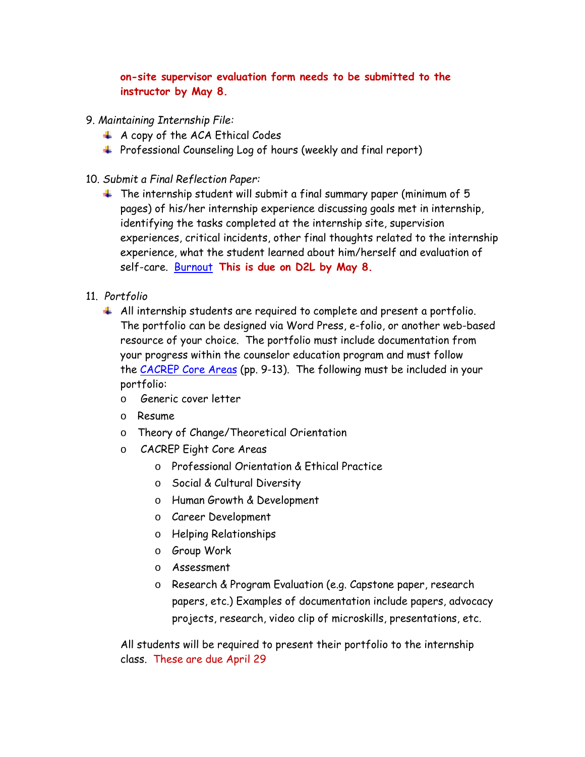## **on-site supervisor evaluation form needs to be submitted to the instructor by May 8.**

- 9. *Maintaining Internship File:*
	- $\overline{A}$  A copy of the ACA Ethical Codes
	- $\textcolor{red}{\textbf{4}}$  Professional Counseling Log of hours (weekly and final report)
- 10. *Submit a Final Reflection Paper:*
	- $\ddotmark$  The internship student will submit a final summary paper (minimum of 5 pages) of his/her internship experience discussing goals met in internship, identifying the tasks completed at the internship site, supervision experiences, critical incidents, other final thoughts related to the internship experience, what the student learned about him/herself and evaluation of self-care. [Burnout](http://www.hpso.com/resources/article/42.jsp) **This is due on D2L by May 8.**
- 11. *Portfolio*
	- $\uparrow$  All internship students are required to complete and present a portfolio. The portfolio can be designed via Word Press, e-folio, or another web-based resource of your choice. The portfolio must include documentation from your progress within the counselor education program and must follow the [CACREP Core Areas](http://www.cacrep.org/doc/2009%20Standards%20with%20cover.pdf) (pp. 9-13). The following must be included in your portfolio:
		- o Generic cover letter
		- o Resume
		- o Theory of Change/Theoretical Orientation
		- o CACREP Eight Core Areas
			- o Professional Orientation & Ethical Practice
			- o Social & Cultural Diversity
			- o Human Growth & Development
			- o Career Development
			- o Helping Relationships
			- o Group Work
			- o Assessment
			- o Research & Program Evaluation (e.g. Capstone paper, research papers, etc.) Examples of documentation include papers, advocacy projects, research, video clip of microskills, presentations, etc.

All students will be required to present their portfolio to the internship class. These are due April 29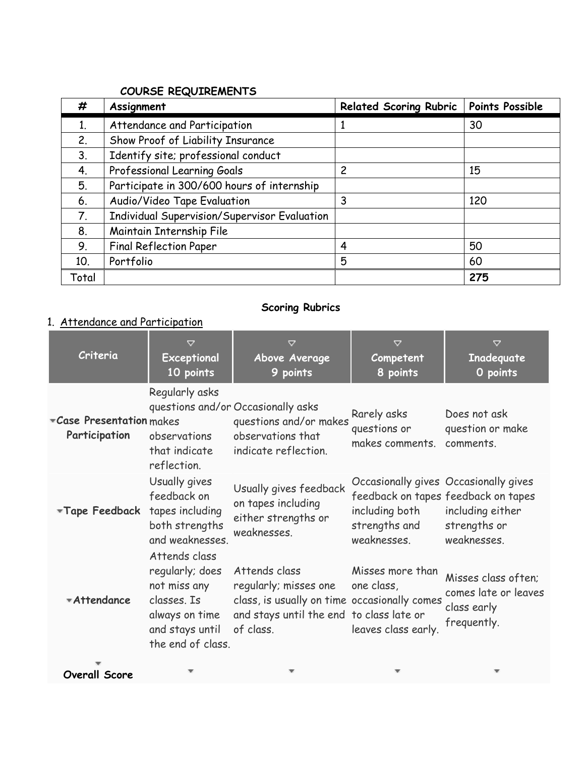## **COURSE REQUIREMENTS**

| #     | Assignment                                          | <b>Related Scoring Rubric</b> | <b>Points Possible</b> |
|-------|-----------------------------------------------------|-------------------------------|------------------------|
| 1.    | Attendance and Participation                        |                               | 30                     |
| 2.    | Show Proof of Liability Insurance                   |                               |                        |
| 3.    | Identify site; professional conduct                 |                               |                        |
| 4.    | Professional Learning Goals                         | $\overline{c}$                | 15                     |
| 5.    | Participate in 300/600 hours of internship          |                               |                        |
| 6.    | Audio/Video Tape Evaluation                         | 3                             | 120                    |
| 7.    | <b>Individual Supervision/Supervisor Evaluation</b> |                               |                        |
| 8.    | Maintain Internship File                            |                               |                        |
| 9.    | <b>Final Reflection Paper</b>                       | 4                             | 50                     |
| 10.   | Portfolio                                           | 5                             | 60                     |
| Total |                                                     |                               | 275                    |

# **Scoring Rubrics**

# 1. Attendance and Participation

| Criteria                                 | $\triangledown$<br>Exceptional<br>10 points                                                              | $\triangledown$<br>Above Average<br>9 points                                                                                                    | $\triangledown$<br>Competent<br>8 points                                                | $\triangledown$<br>Inadequate<br>O points                                              |
|------------------------------------------|----------------------------------------------------------------------------------------------------------|-------------------------------------------------------------------------------------------------------------------------------------------------|-----------------------------------------------------------------------------------------|----------------------------------------------------------------------------------------|
| Case Presentation makes<br>Participation | Regularly asks<br>observations<br>that indicate<br>reflection.                                           | questions and/or Occasionally asks<br>questions and/or makes<br>observations that<br>indicate reflection.                                       | Rarely asks<br>questions or<br>makes comments.                                          | Does not ask<br>question or make<br>comments.                                          |
| *Tape Feedback                           | Usually gives<br>feedback on<br>tapes including<br>both strengths<br>and weaknesses.<br>Attends class    | Usually gives feedback<br>on tapes including<br>either strengths or<br>weaknesses.                                                              | Occasionally gives Occasionally gives<br>including both<br>strengths and<br>weaknesses. | feedback on tapes feedback on tapes<br>including either<br>strengths or<br>weaknesses. |
| *Attendance                              | regularly; does<br>not miss any<br>classes. Is<br>always on time<br>and stays until<br>the end of class. | Attends class<br>regularly; misses one<br>class, is usually on time occasionally comes<br>and stays until the end to class late or<br>of class. | Misses more than<br>one class,<br>leaves class early.                                   | Misses class often;<br>comes late or leaves<br>class early<br>frequently.              |

**Overall Score**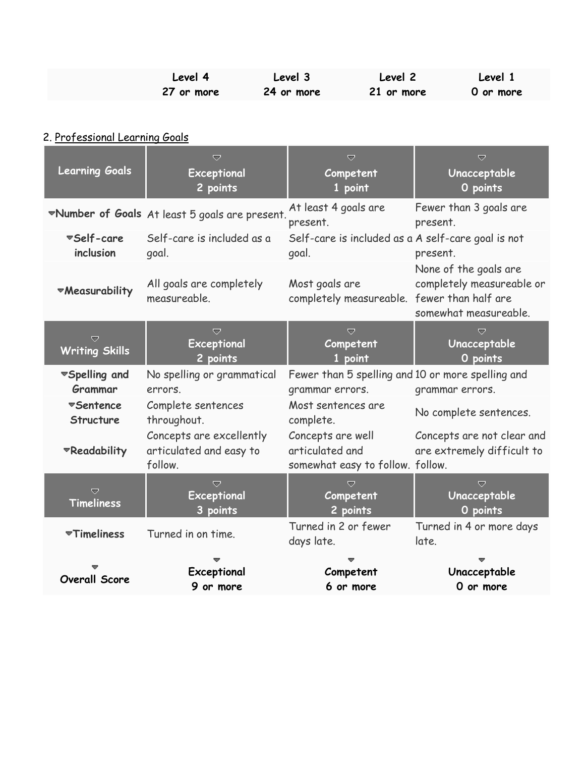| Level 4    | Level 3    | Level 2    | Level 1   |
|------------|------------|------------|-----------|
| 27 or more | 24 or more | 21 or more | 0 or more |

# 2. Professional Learning Goals

| <b>Learning Goals</b>         | ▽<br>Exceptional<br>2 points                                   | $\overline{\nabla}$<br>Competent<br>1 point                              | ᇦ<br>Unacceptable<br>O points                                               |
|-------------------------------|----------------------------------------------------------------|--------------------------------------------------------------------------|-----------------------------------------------------------------------------|
|                               | *Number of Goals At least 5 goals are present.                 | At least 4 goals are<br>present.                                         | Fewer than 3 goals are<br>present.                                          |
| ▼Self-care<br>inclusion       | Self-care is included as a<br>goal.                            | Self-care is included as a A self-care goal is not<br>goal.              | present.                                                                    |
| <b>Weasurability</b>          | All goals are completely<br>measureable.                       | Most goals are<br>completely measureable. fewer than half are            | None of the goals are<br>completely measureable or<br>somewhat measureable. |
| ▽<br><b>Writing Skills</b>    | $\overline{\nabla}$<br>Exceptional<br>2 points                 | $\overline{\nabla}$<br>Competent<br>1 point                              | $\overline{\nabla}$<br>Unacceptable<br>O points                             |
| ▼Spelling and<br>Grammar      | No spelling or grammatical<br>errors.                          | Fewer than 5 spelling and 10 or more spelling and<br>grammar errors.     | grammar errors.                                                             |
| <b>▼Sentence</b><br>Structure | Complete sentences<br>throughout.                              | Most sentences are<br>complete.                                          | No complete sentences.                                                      |
| *Readability                  | Concepts are excellently<br>articulated and easy to<br>follow. | Concepts are well<br>articulated and<br>somewhat easy to follow. follow. | Concepts are not clear and<br>are extremely difficult to                    |
| ▽<br><b>Timeliness</b>        | $\overline{\nabla}$<br>Exceptional<br>3 points                 | U<br>Competent<br>2 points                                               | $\overline{\nabla}$<br>Unacceptable<br>O points                             |
| <b>▼Timeliness</b>            | Turned in on time.                                             | Turned in 2 or fewer<br>days late.                                       | Turned in 4 or more days<br>late.                                           |
| <b>Overall Score</b>          | Exceptional<br>9 or more                                       | Competent<br>6 or more                                                   | Unacceptable<br>O or more                                                   |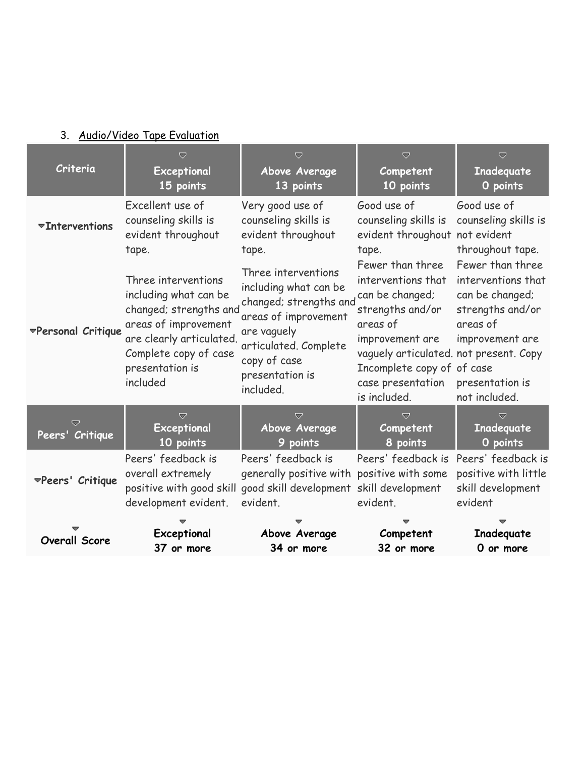# 3. Audio/Video Tape Evaluation

| Criteria                | $\overline{\nabla}$<br>Exceptional<br>15 points                                                                                                                                    | $\overline{\nabla}$<br>Above Average<br>13 points                                                                                                                                      | $\overline{\nabla}$<br>Competent<br>10 points                                                                                                                                                                             | $\overline{\nabla}$<br>Inadequate<br>O points                                                                                                    |
|-------------------------|------------------------------------------------------------------------------------------------------------------------------------------------------------------------------------|----------------------------------------------------------------------------------------------------------------------------------------------------------------------------------------|---------------------------------------------------------------------------------------------------------------------------------------------------------------------------------------------------------------------------|--------------------------------------------------------------------------------------------------------------------------------------------------|
| <b>Thterventions</b>    | Excellent use of<br>counseling skills is<br>evident throughout<br>tape.                                                                                                            | Very good use of<br>counseling skills is<br>evident throughout<br>tape.                                                                                                                | Good use of<br>counseling skills is<br>evident throughout not evident<br>tape.                                                                                                                                            | Good use of<br>counseling skills is<br>throughout tape.                                                                                          |
| ▼Personal Critique      | Three interventions<br>including what can be<br>changed; strengths and<br>areas of improvement<br>are clearly articulated.<br>Complete copy of case<br>presentation is<br>included | Three interventions<br>including what can be<br>changed; strengths and<br>areas of improvement<br>are vaguely<br>articulated. Complete<br>copy of case<br>presentation is<br>included. | Fewer than three<br>interventions that<br>can be changed;<br>strengths and/or<br>areas of<br>improvement are<br>vaguely articulated. not present. Copy<br>Incomplete copy of of case<br>case presentation<br>is included. | Fewer than three<br>interventions that<br>can be changed;<br>strengths and/or<br>areas of<br>improvement are<br>presentation is<br>not included. |
| v<br>Peers' Critique    | $\overline{\mathbf{v}}$<br>Exceptional<br>10 points                                                                                                                                | ≂<br>Above Average<br>9 points                                                                                                                                                         | U<br>Competent<br>8 points                                                                                                                                                                                                | ≂<br>Inadequate<br>O points                                                                                                                      |
| <b>™Peers' Critique</b> | Peers' feedback is<br>overall extremely<br>positive with good skill<br>development evident.                                                                                        | Peers' feedback is<br>generally positive with positive with some<br>good skill development skill development<br>evident.                                                               | Peers' feedback is<br>evident.                                                                                                                                                                                            | Peers' feedback is<br>positive with little<br>skill development<br>evident                                                                       |
| <b>Overall Score</b>    | Exceptional<br>37 or more                                                                                                                                                          | Above Average<br>34 or more                                                                                                                                                            | Competent<br>32 or more                                                                                                                                                                                                   | Inadequate<br>O or more                                                                                                                          |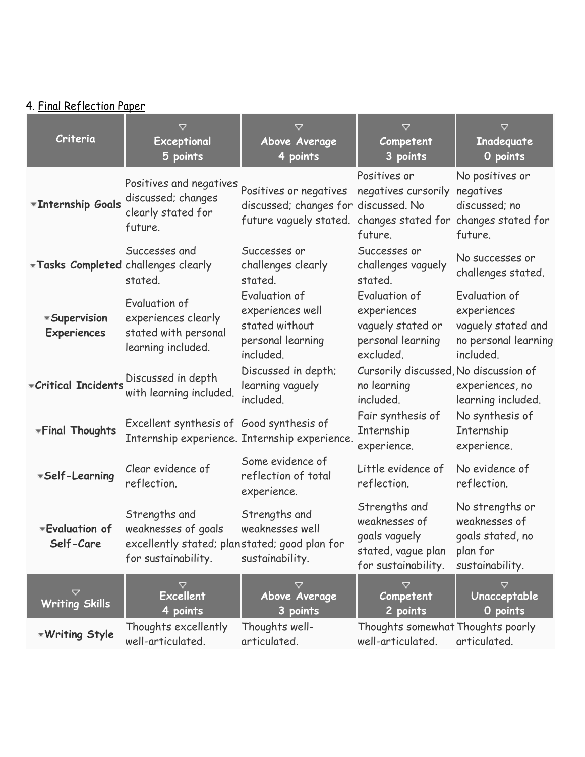# 4. Final Reflection Paper

| Criteria                                  | $\triangledown$<br>Exceptional<br>5 points                                                                   | $\triangledown$<br>Above Average<br>4 points                                                                | $\triangledown$<br>Competent<br>3 points                                                     | $\triangledown$<br>Inadequate<br>O points                                               |
|-------------------------------------------|--------------------------------------------------------------------------------------------------------------|-------------------------------------------------------------------------------------------------------------|----------------------------------------------------------------------------------------------|-----------------------------------------------------------------------------------------|
| *Internship Goals                         | Positives and negatives<br>discussed; changes<br>clearly stated for<br>future.                               | Positives or negatives<br>discussed; changes for discussed. No<br>future vaguely stated. changes stated for | Positives or<br>negatives cursorily<br>future.                                               | No positives or<br>negatives<br>discussed; no<br>changes stated for<br>future.          |
| Tasks Completed challenges clearly        | Successes and<br>stated.                                                                                     | Successes or<br>challenges clearly<br>stated.                                                               | Successes or<br>challenges vaguely<br>stated.                                                | No successes or<br>challenges stated.                                                   |
| <b>*Supervision</b><br><b>Experiences</b> | Evaluation of<br>experiences clearly<br>stated with personal<br>learning included.                           | Evaluation of<br>experiences well<br>stated without<br>personal learning<br>included.                       | Evaluation of<br>experiences<br>vaguely stated or<br>personal learning<br>excluded.          | Evaluation of<br>experiences<br>vaguely stated and<br>no personal learning<br>included. |
| <i><b>*Critical Incidents</b></i>         | Discussed in depth<br>with learning included.                                                                | Discussed in depth;<br>learning vaguely<br>included.                                                        | Cursorily discussed, No discussion of<br>no learning<br>included.                            | experiences, no<br>learning included.                                                   |
| <b>*Final Thoughts</b>                    | Excellent synthesis of Good synthesis of                                                                     | Internship experience. Internship experience.                                                               | Fair synthesis of<br>Internship<br>experience.                                               | No synthesis of<br>Internship<br>experience.                                            |
| *Self-Learning                            | Clear evidence of<br>reflection.                                                                             | Some evidence of<br>reflection of total<br>experience.                                                      | Little evidence of<br>reflection.                                                            | No evidence of<br>reflection.                                                           |
| *Evaluation of<br>Self-Care               | Strengths and<br>weaknesses of goals<br>excellently stated; planstated; good plan for<br>for sustainability. | Strengths and<br>weaknesses well<br>sustainability.                                                         | Strengths and<br>weaknesses of<br>goals vaguely<br>stated, vague plan<br>for sustainability. | No strengths or<br>weaknesses of<br>goals stated, no<br>plan for<br>sustainability.     |
| ▽<br><b>Writing Skills</b>                | ▽<br><b>Excellent</b><br>4 points                                                                            | ▽<br>Above Average<br>3 points                                                                              | ▽<br>Competent<br>2 points                                                                   | ▽<br>Unacceptable<br>O points                                                           |
| <b>Writing Style</b>                      | Thoughts excellently<br>well-articulated.                                                                    | Thoughts well-<br>articulated.                                                                              | Thoughts somewhat Thoughts poorly<br>well-articulated.                                       | articulated.                                                                            |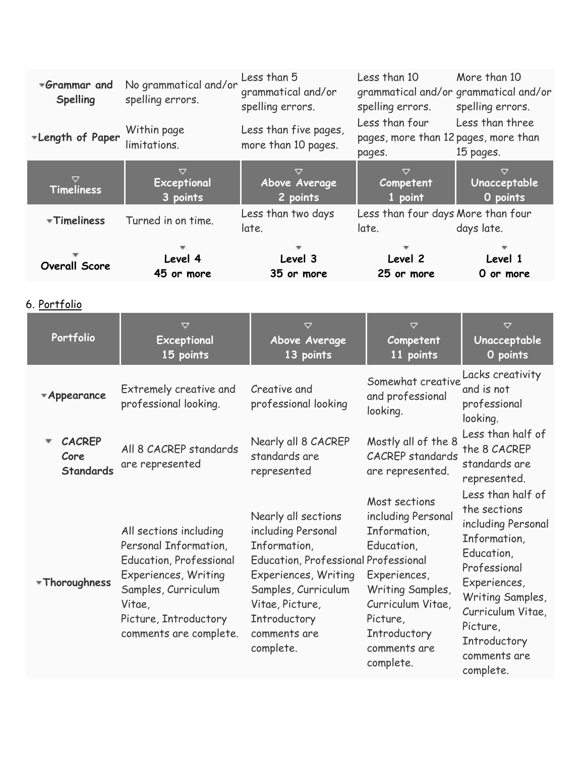| *Grammar and<br><b>Spelling</b>           | No grammatical and/or<br>spelling errors.                                                                                                                                                     | Less than 5<br>grammatical and/or<br>spelling errors.                                                                                                                                                      | Less than 10<br>grammatical and/or grammatical and/or<br>spelling errors.                                                                              | More than 10<br>spelling errors.                                                                                                                                                           |
|-------------------------------------------|-----------------------------------------------------------------------------------------------------------------------------------------------------------------------------------------------|------------------------------------------------------------------------------------------------------------------------------------------------------------------------------------------------------------|--------------------------------------------------------------------------------------------------------------------------------------------------------|--------------------------------------------------------------------------------------------------------------------------------------------------------------------------------------------|
| *Length of Paper                          | Within page<br>limitations.                                                                                                                                                                   | Less than five pages,<br>more than 10 pages.                                                                                                                                                               | Less than four<br>pages, more than 12 pages, more than<br>pages.                                                                                       | Less than three<br>15 pages.                                                                                                                                                               |
| ▽<br><b>Timeliness</b>                    | ▽<br>Exceptional<br>3 points                                                                                                                                                                  | ▽<br>Above Average<br>2 points                                                                                                                                                                             | $\triangledown$<br>Competent<br>1 point                                                                                                                | ▽<br>Unacceptable<br>O points                                                                                                                                                              |
| *Timeliness                               | Turned in on time.                                                                                                                                                                            | Less than two days<br>late.                                                                                                                                                                                | Less than four days More than four<br>late.                                                                                                            | days late.                                                                                                                                                                                 |
| <b>Overall Score</b>                      | Level 4<br>45 or more                                                                                                                                                                         | Level 3<br>35 or more                                                                                                                                                                                      | Level 2<br>25 or more                                                                                                                                  | Level 1<br>0 or more                                                                                                                                                                       |
| 6. Portfolio                              |                                                                                                                                                                                               |                                                                                                                                                                                                            |                                                                                                                                                        |                                                                                                                                                                                            |
| Portfolio                                 | $\triangledown$<br>Exceptional<br>15 points                                                                                                                                                   | $\triangledown$<br>Above Average<br>13 points                                                                                                                                                              | $\triangledown$<br>Competent<br>11 points                                                                                                              | $\triangledown$<br>Unacceptable<br>O points                                                                                                                                                |
| *Appearance                               | Extremely creative and<br>professional looking.                                                                                                                                               | Creative and<br>professional looking                                                                                                                                                                       | Somewhat creative<br>and professional<br>looking.                                                                                                      | Lacks creativity<br>and is not<br>professional<br>looking.                                                                                                                                 |
| <b>CACREP</b><br>Core<br><b>Standards</b> | All 8 CACREP standards<br>are represented                                                                                                                                                     | Nearly all 8 CACREP<br>standards are<br>represented                                                                                                                                                        | Mostly all of the 8<br><b>CACREP</b> standards<br>are represented.                                                                                     | Less than half of<br>the 8 CACREP<br>standards are<br>represented.                                                                                                                         |
| *Thoroughness                             | All sections including<br>Personal Information,<br><b>Education, Professional</b><br>Experiences, Writing<br>Samples, Curriculum<br>Vitae,<br>Picture, Introductory<br>comments are complete. | Nearly all sections<br>including Personal<br>Information,<br><b>Education, Professional Professional</b><br>Experiences, Writing<br>Samples, Curriculum<br>Vitae, Picture,<br>Introductory<br>comments are | Most sections<br>including Personal<br>Information,<br>Education,<br>Experiences,<br>Writing Samples,<br>Curriculum Vitae,<br>Picture,<br>Introductory | Less than half of<br>the sections<br>including Personal<br>Information,<br>Education,<br>Professional<br>Experiences,<br>Writing Samples,<br>Curriculum Vitae,<br>Picture,<br>Introductory |

complete.

comments are complete.

comments are complete.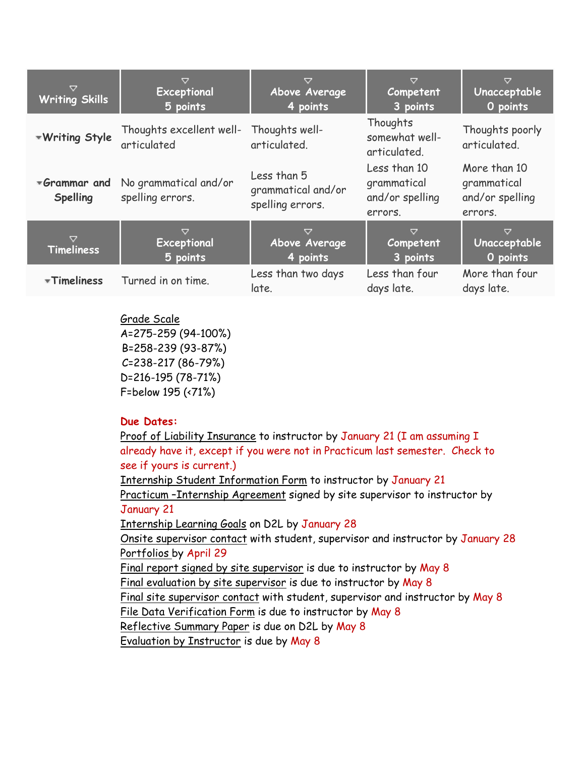| ▽<br><b>Writing Skills</b>           | ▽<br>Exceptional<br>5 points              | Above Average<br>4 points                             | $\triangledown$<br>Competent<br>3 points                  | $\triangledown$<br>Unacceptable<br>O points               |
|--------------------------------------|-------------------------------------------|-------------------------------------------------------|-----------------------------------------------------------|-----------------------------------------------------------|
| <b>*Writing Style</b>                | Thoughts excellent well-<br>articulated   | Thoughts well-<br>articulated.                        | Thoughts<br>somewhat well-<br>articulated.                | Thoughts poorly<br>articulated.                           |
| *Grammar and<br><b>Spelling</b>      | No grammatical and/or<br>spelling errors. | Less than 5<br>grammatical and/or<br>spelling errors. | Less than 10<br>grammatical<br>and/or spelling<br>errors. | More than 10<br>grammatical<br>and/or spelling<br>errors. |
| $\triangledown$<br><b>Timeliness</b> | ▽<br>Exceptional<br>5 points              | ▽<br>Above Average<br>4 points                        | $\triangledown$<br>Competent<br>3 points                  | $\triangledown$<br>Unacceptable<br>O points               |
| *Timeliness                          | Turned in on time.                        | Less than two days<br>late.                           | Less than four<br>days late.                              | More than four<br>days late.                              |

Grade Scale A=275-259 (94-100%) B=258-239 (93-87%) C=238-217 (86-79%) D=216-195 (78-71%) F=below 195 (<71%)

#### **Due Dates:**

Proof of Liability Insurance to instructor by January 21 (I am assuming I already have it, except if you were not in Practicum last semester. Check to see if yours is current.)

Internship Student Information Form to instructor by January 21

Practicum –Internship Agreement signed by site supervisor to instructor by January 21

Internship Learning Goals on D2L by January 28

Onsite supervisor contact with student, supervisor and instructor by January 28 Portfolios by April 29

Final report signed by site supervisor is due to instructor by May 8

Final evaluation by site supervisor is due to instructor by May 8

Final site supervisor contact with student, supervisor and instructor by May 8

File Data Verification Form is due to instructor by May 8

Reflective Summary Paper is due on D2L by May 8

Evaluation by Instructor is due by May 8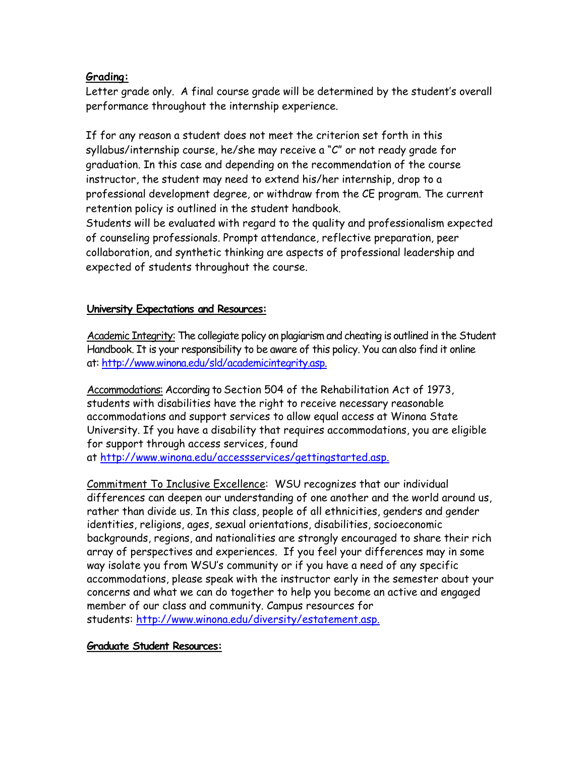#### **Grading:**

Letter grade only. A final course grade will be determined by the student's overall performance throughout the internship experience.

If for any reason a student does not meet the criterion set forth in this syllabus/internship course, he/she may receive a "C" or not ready grade for graduation. In this case and depending on the recommendation of the course instructor, the student may need to extend his/her internship, drop to a professional development degree, or withdraw from the CE program. The current retention policy is outlined in the student handbook.

Students will be evaluated with regard to the quality and professionalism expected of counseling professionals. Prompt attendance, reflective preparation, peer collaboration, and synthetic thinking are aspects of professional leadership and expected of students throughout the course.

#### **University Expectations and Resources:**

Academic Integrity: The collegiate policy on plagiarism and cheating is outlined in the Student Handbook. It is your responsibility to be aware of this policy. You can also find it online at[: http://www.winona.edu/sld/academicintegrity.asp.](http://www.winona.edu/sld/academicintegrity.asp)

Accommodations: According to Section 504 of the Rehabilitation Act of 1973, students with disabilities have the right to receive necessary reasonable accommodations and support services to allow equal access at Winona State University. If you have a disability that requires accommodations, you are eligible for support through access services, found

at [http://www.winona.edu/accessservices/gettingstarted.asp.](http://www.winona.edu/accessservices/gettingstarted.asp)

Commitment To Inclusive Excellence: WSU recognizes that our individual differences can deepen our understanding of one another and the world around us, rather than divide us. In this class, people of all ethnicities, genders and gender identities, religions, ages, sexual orientations, disabilities, socioeconomic backgrounds, regions, and nationalities are strongly encouraged to share their rich array of perspectives and experiences. If you feel your differences may in some way isolate you from WSU's community or if you have a need of any specific accommodations, please speak with the instructor early in the semester about your concerns and what we can do together to help you become an active and engaged member of our class and community. Campus resources for students: [http://www.winona.edu/diversity/estatement.asp.](http://www.winona.edu/diversity/estatement.asp)

#### **Graduate Student Resources:**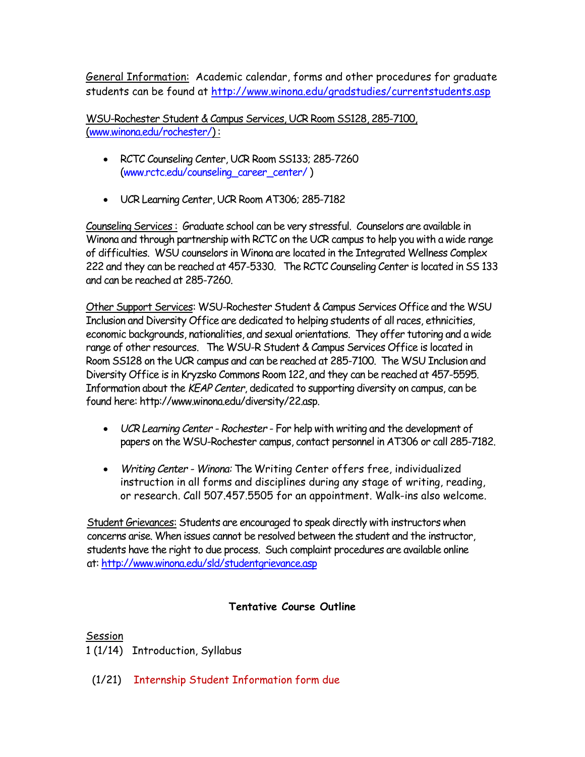General Information: Academic calendar, forms and other procedures for graduate students can be found at<http://www.winona.edu/gradstudies/currentstudents.asp>

WSU-Rochester Student & Campus Services, UCR Room SS128, 285-7100, [\(www.winona.edu/rochester/\)](http://www.winona.edu/rochester/) :

- RCTC Counseling Center, UCR Room SS133; 285-7260 [\(www.rctc.edu/counseling\\_career\\_center/](http://www.rctc.edu/counseling_career_center/) )
- UCR Learning Center, UCR Room AT306; 285-7182

Counseling Services : Graduate school can be very stressful. Counselors are available in Winona and through partnership with RCTC on the UCR campus to help you with a wide range of difficulties. WSU counselors in Winona are located in the Integrated Wellness Complex 222 and they can be reached at 457-5330. The RCTC Counseling Center is located in SS 133 and can be reached at 285-7260.

Other Support Services: WSU-Rochester Student & Campus Services Office and the WSU Inclusion and Diversity Office are dedicated to helping students of all races, ethnicities, economic backgrounds, nationalities, and sexual orientations. They offer tutoring and a wide range of other resources. The WSU-R Student & Campus Services Office is located in Room SS128 on the UCR campus and can be reached at 285-7100. The WSU Inclusion and Diversity Office is in Kryzsko Commons Room 122, and they can be reached at 457-5595. Information about the *KEAP Center*, dedicated to supporting diversity on campus, can be found here: http://www.winona.edu/diversity/22.asp.

- *UCR Learning Center - Rochester* For help with writing and the development of papers on the WSU-Rochester campus, contact personnel in AT306 or call 285-7182.
- *Writing Center - Winona:* The Writing Center offers free, individualized instruction in all forms and disciplines during any stage of writing, reading, or research. Call 507.457.5505 for an appointment. Walk-ins also welcome.

Student Grievances: Students are encouraged to speak directly with instructors when concerns arise. When issues cannot be resolved between the student and the instructor, students have the right to due process. Such complaint procedures are available online at:<http://www.winona.edu/sld/studentgrievance.asp>

# **Tentative Course Outline**

**Session** 

- 1 (1/14) Introduction, Syllabus
- (1/21) Internship Student Information form due